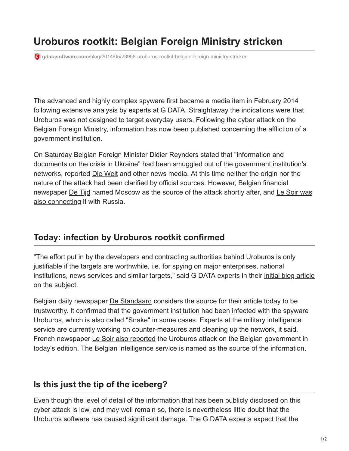## **Uroburos rootkit: Belgian Foreign Ministry stricken**

**gdatasoftware.com**[/blog/2014/05/23958-uroburos-rootkit-belgian-foreign-ministry-stricken](https://www.gdatasoftware.com/blog/2014/05/23958-uroburos-rootkit-belgian-foreign-ministry-stricken)

The advanced and highly complex spyware first became a media item in February 2014 following extensive analysis by experts at G DATA. Straightaway the indications were that Uroburos was not designed to target everyday users. Following the cyber attack on the Belgian Foreign Ministry, information has now been published concerning the affliction of a government institution.

On Saturday Belgian Foreign Minister Didier Reynders stated that "information and documents on the crisis in Ukraine" had been smuggled out of the government institution's networks, reported [Die Welt](http://www.welt.de/newsticker/news2/article127850537/Hacker-Angriff-auf-belgisches-Aussenministerium.html) and other news media. At this time neither the origin nor the nature of the attack had been clarified by official sources. However, Belgian financial [newspaper De Tijd named Moscow as the source of the attack shortly after, and Le Soir was](http://www.lesoir.be/540848/article/actualite/belgique/2014-05-10/ministere-des-affaires-etrangeres-ete-pirate-par-russie) also connecting it with Russia.

## **Today: infection by Uroburos rootkit confirmed**

"The effort put in by the developers and contracting authorities behind Uroburos is only justifiable if the targets are worthwhile, i.e. for spying on major enterprises, national institutions, news services and similar targets," said G DATA experts in their [initial blog article](https://www.gdatasoftware.com/blog/2014/02/23968-uroburos-highly-complex-espionage-software-with-russian-roots) on the subject.

Belgian daily newspaper [De Standaard](http://www.standaard.be/cnt/dmf20140512_01103164) considers the source for their article today to be trustworthy. It confirmed that the government institution had been infected with the spyware Uroburos, which is also called "Snake" in some cases. Experts at the military intelligence service are currently working on counter-measures and cleaning up the network, it said. French newspaper [Le Soir also reported](http://www.lesoir.be/542786/article/actualite/belgique/2014-05-13/logiciel-russe-snake-frappe-affaires-etrangeres) the Uroburos attack on the Belgian government in today's edition. The Belgian intelligence service is named as the source of the information.

## **Is this just the tip of the iceberg?**

Even though the level of detail of the information that has been publicly disclosed on this cyber attack is low, and may well remain so, there is nevertheless little doubt that the Uroburos software has caused significant damage. The G DATA experts expect that the